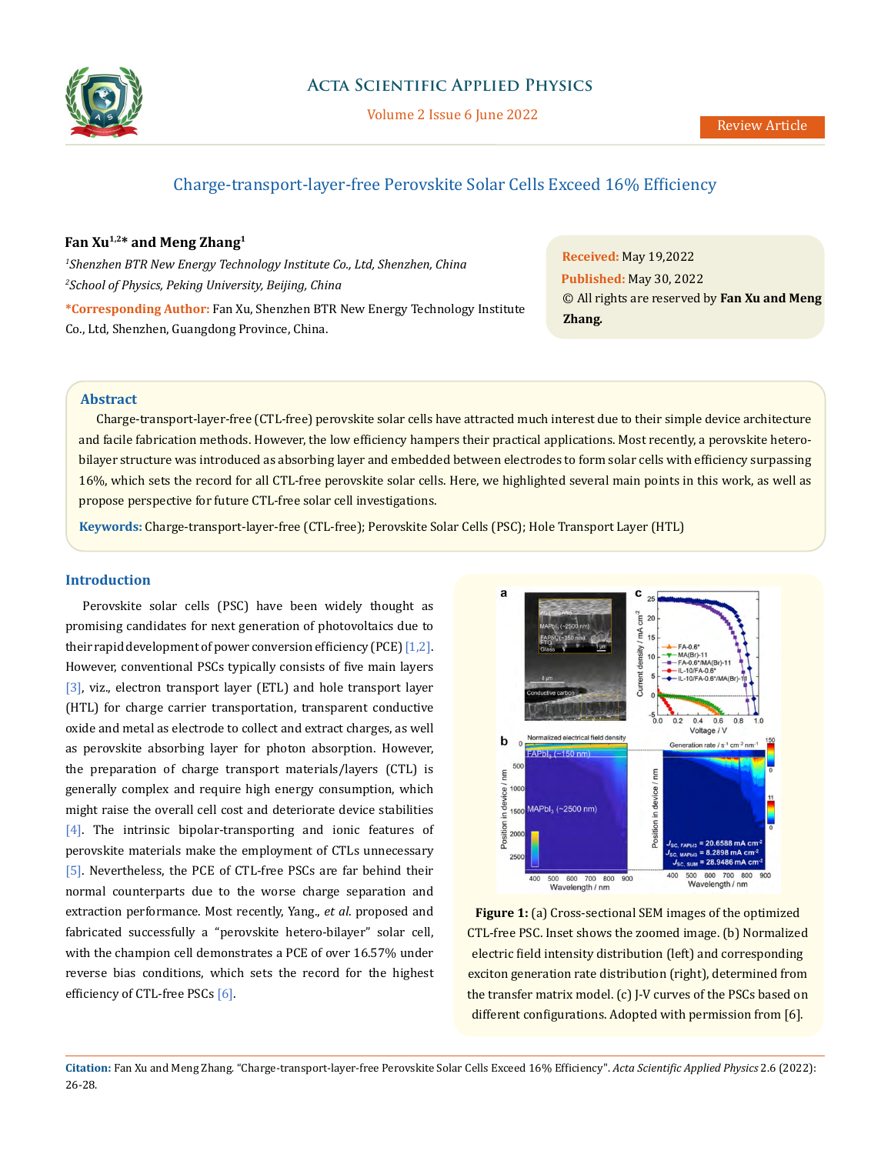

# Charge-transport-layer-free Perovskite Solar Cells Exceed 16% Efficiency

## **Fan Xu1,2\* and Meng Zhang1**

*1 Shenzhen BTR New Energy Technology Institute Co., Ltd, Shenzhen, China 2 School of Physics, Peking University, Beijing, China*

**\*Corresponding Author:** Fan Xu, Shenzhen BTR New Energy Technology Institute Co., Ltd, Shenzhen, Guangdong Province, China.

**Received:** May 19,2022 **Published:** May 30, 2022 © All rights are reserved by **Fan Xu and Meng Zhang***.*

## **Abstract**

Charge-transport-layer-free (CTL-free) perovskite solar cells have attracted much interest due to their simple device architecture and facile fabrication methods. However, the low efficiency hampers their practical applications. Most recently, a perovskite heterobilayer structure was introduced as absorbing layer and embedded between electrodes to form solar cells with efficiency surpassing 16%, which sets the record for all CTL-free perovskite solar cells. Here, we highlighted several main points in this work, as well as propose perspective for future CTL-free solar cell investigations.

**Keywords:** Charge-transport-layer-free (CTL-free); Perovskite Solar Cells (PSC); Hole Transport Layer (HTL)

#### **Introduction**

Perovskite solar cells (PSC) have been widely thought as promising candidates for next generation of photovoltaics due to their rapid development of power conversion efficiency (PCE)  $[1,2]$ . However, conventional PSCs typically consists of five main layers [3], viz., electron transport layer (ETL) and hole transport layer (HTL) for charge carrier transportation, transparent conductive oxide and metal as electrode to collect and extract charges, as well as perovskite absorbing layer for photon absorption. However, the preparation of charge transport materials/layers (CTL) is generally complex and require high energy consumption, which might raise the overall cell cost and deteriorate device stabilities [4]. The intrinsic bipolar-transporting and ionic features of perovskite materials make the employment of CTLs unnecessary [5]. Nevertheless, the PCE of CTL-free PSCs are far behind their normal counterparts due to the worse charge separation and extraction performance. Most recently, Yang., *et al*. proposed and fabricated successfully a "perovskite hetero-bilayer" solar cell, with the champion cell demonstrates a PCE of over 16.57% under reverse bias conditions, which sets the record for the highest efficiency of CTL-free PSCs [6].



Figure 1: (a) Cross-sectional SEM images of the optimized CTL-free PSC. Inset shows the zoomed image. (b) Normalized electric field intensity distribution (left) and corresponding exciton generation rate distribution (right), determined from the transfer matrix model. (c) J-V curves of the PSCs based on different configurations. Adopted with permission from [6].

**Citation:** Fan Xu and Meng Zhang*.* "Charge-transport-layer-free Perovskite Solar Cells Exceed 16% Efficiency". *Acta Scientific Applied Physics* 2.6 (2022): 26-28.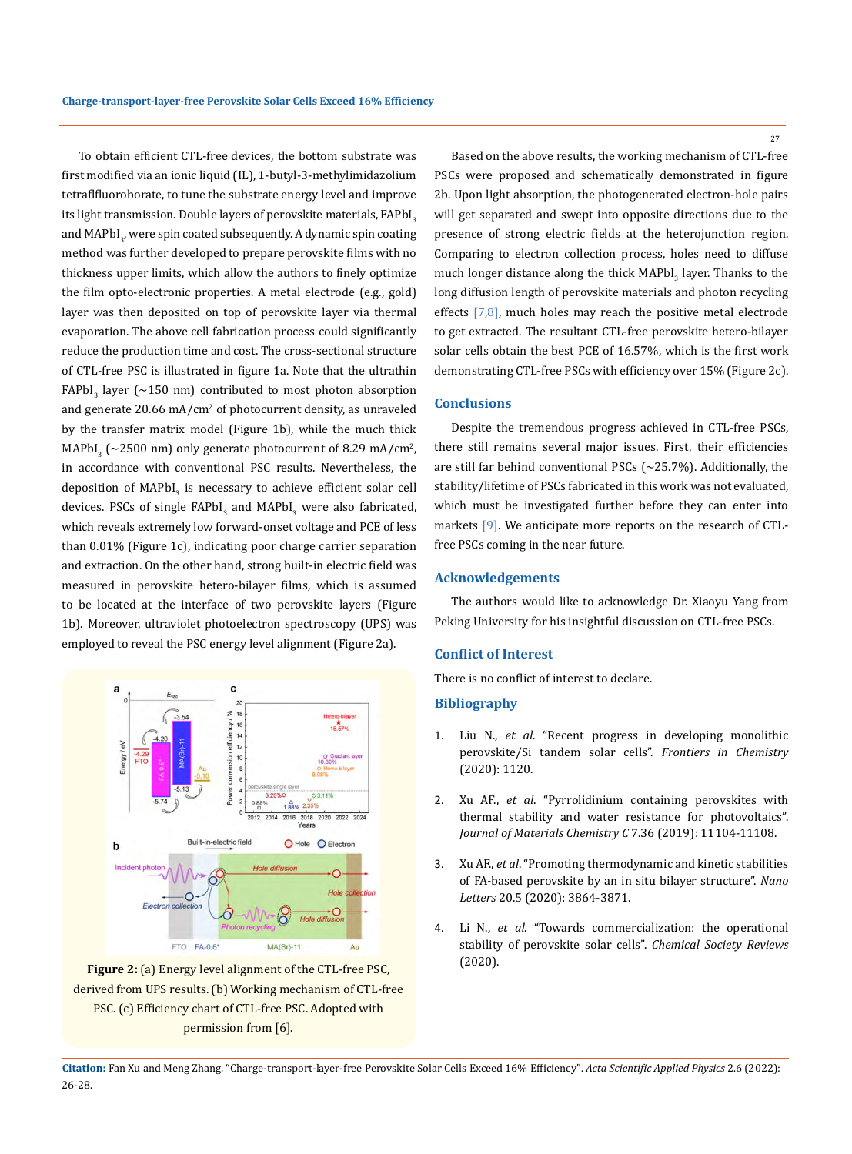To obtain efficient CTL-free devices, the bottom substrate was first modified via an ionic liquid (IL), 1-butyl-3-methylimidazolium tetraflfluoroborate, to tune the substrate energy level and improve its light transmission. Double layers of perovskite materials,  $FAPbI<sub>3</sub>$ and MAPbI<sub>3</sub>, were spin coated subsequently. A dynamic spin coating method was further developed to prepare perovskite films with no thickness upper limits, which allow the authors to finely optimize the film opto-electronic properties. A metal electrode (e.g., gold) layer was then deposited on top of perovskite layer via thermal evaporation. The above cell fabrication process could significantly reduce the production time and cost. The cross-sectional structure of CTL-free PSC is illustrated in figure 1a. Note that the ultrathin  $FAPbI<sub>3</sub>$  layer (~150 nm) contributed to most photon absorption and generate 20.66 mA/cm<sup>2</sup> of photocurrent density, as unraveled by the transfer matrix model (Figure 1b), while the much thick MAPbI<sub>3</sub> (~2500 nm) only generate photocurrent of 8.29 mA/cm<sup>2</sup>, in accordance with conventional PSC results. Nevertheless, the deposition of  $MAPbI_3$  is necessary to achieve efficient solar cell devices. PSCs of single  $FAPb1_{3}$  and MAPbI<sub>3</sub> were also fabricated, which reveals extremely low forward-onset voltage and PCE of less than 0.01% (Figure 1c), indicating poor charge carrier separation and extraction. On the other hand, strong built-in electric field was measured in perovskite hetero-bilayer films, which is assumed to be located at the interface of two perovskite layers (Figure 1b). Moreover, ultraviolet photoelectron spectroscopy (UPS) was employed to reveal the PSC energy level alignment (Figure 2a).



**Figure 2:** (a) Energy level alignment of the CTL-free PSC, derived from UPS results. (b) Working mechanism of CTL-free PSC. (c) Efficiency chart of CTL-free PSC. Adopted with permission from [6].

Based on the above results, the working mechanism of CTL-free PSCs were proposed and schematically demonstrated in figure 2b. Upon light absorption, the photogenerated electron-hole pairs will get separated and swept into opposite directions due to the presence of strong electric fields at the heterojunction region. Comparing to electron collection process, holes need to diffuse much longer distance along the thick MAPbI<sub>3</sub> layer. Thanks to the long diffusion length of perovskite materials and photon recycling effects  $[7,8]$ , much holes may reach the positive metal electrode to get extracted. The resultant CTL-free perovskite hetero-bilayer solar cells obtain the best PCE of 16.57%, which is the first work demonstrating CTL-free PSCs with efficiency over 15% (Figure 2c).

#### **Conclusions**

Despite the tremendous progress achieved in CTL-free PSCs, there still remains several major issues. First, their efficiencies are still far behind conventional PSCs  $(-25.7%)$ . Additionally, the stability/lifetime of PSCs fabricated in this work was not evaluated, which must be investigated further before they can enter into markets [9]. We anticipate more reports on the research of CTLfree PSCs coming in the near future.

#### **Acknowledgements**

The authors would like to acknowledge Dr. Xiaoyu Yang from Peking University for his insightful discussion on CTL-free PSCs.

### **Conflict of Interest**

There is no conflict of interest to declare.

#### **Bibliography**

- 1. Liu N., *et al*[. "Recent progress in developing monolithic](https://www.frontiersin.org/articles/10.3389/fchem.2020.603375/full)  [perovskite/Si tandem solar cells".](https://www.frontiersin.org/articles/10.3389/fchem.2020.603375/full) *Frontiers in Chemistry* [\(2020\): 1120.](https://www.frontiersin.org/articles/10.3389/fchem.2020.603375/full)
- 2. Xu AF., *et al*[. "Pyrrolidinium containing perovskites with](https://pubs.rsc.org/en/content/articlelanding/2019/tc/c9tc02800e)  [thermal stability and water resistance for photovoltaics".](https://pubs.rsc.org/en/content/articlelanding/2019/tc/c9tc02800e)  *[Journal of Materials Chemistry C](https://pubs.rsc.org/en/content/articlelanding/2019/tc/c9tc02800e)* 7.36 (2019): 11104-11108.
- 3. Xu AF., *et al*[. "Promoting thermodynamic and kinetic stabilities](https://pubs.acs.org/doi/abs/10.1021/acs.nanolett.0c00988)  [of FA-based perovskite by an in situ bilayer structure".](https://pubs.acs.org/doi/abs/10.1021/acs.nanolett.0c00988) *Nano Letters* [20.5 \(2020\): 3864-3871.](https://pubs.acs.org/doi/abs/10.1021/acs.nanolett.0c00988)
- 4. Li N., *et al*[. "Towards commercialization: the operational](https://pubs.rsc.org/en/content/articlelanding/2020/cs/d0cs00573h)  stability of perovskite solar cells". *Chemical Society Reviews* [\(2020\).](https://pubs.rsc.org/en/content/articlelanding/2020/cs/d0cs00573h)

**Citation:** Fan Xu and Meng Zhang*.* "Charge-transport-layer-free Perovskite Solar Cells Exceed 16% Efficiency". *Acta Scientific Applied Physics* 2.6 (2022): 26-28.

27